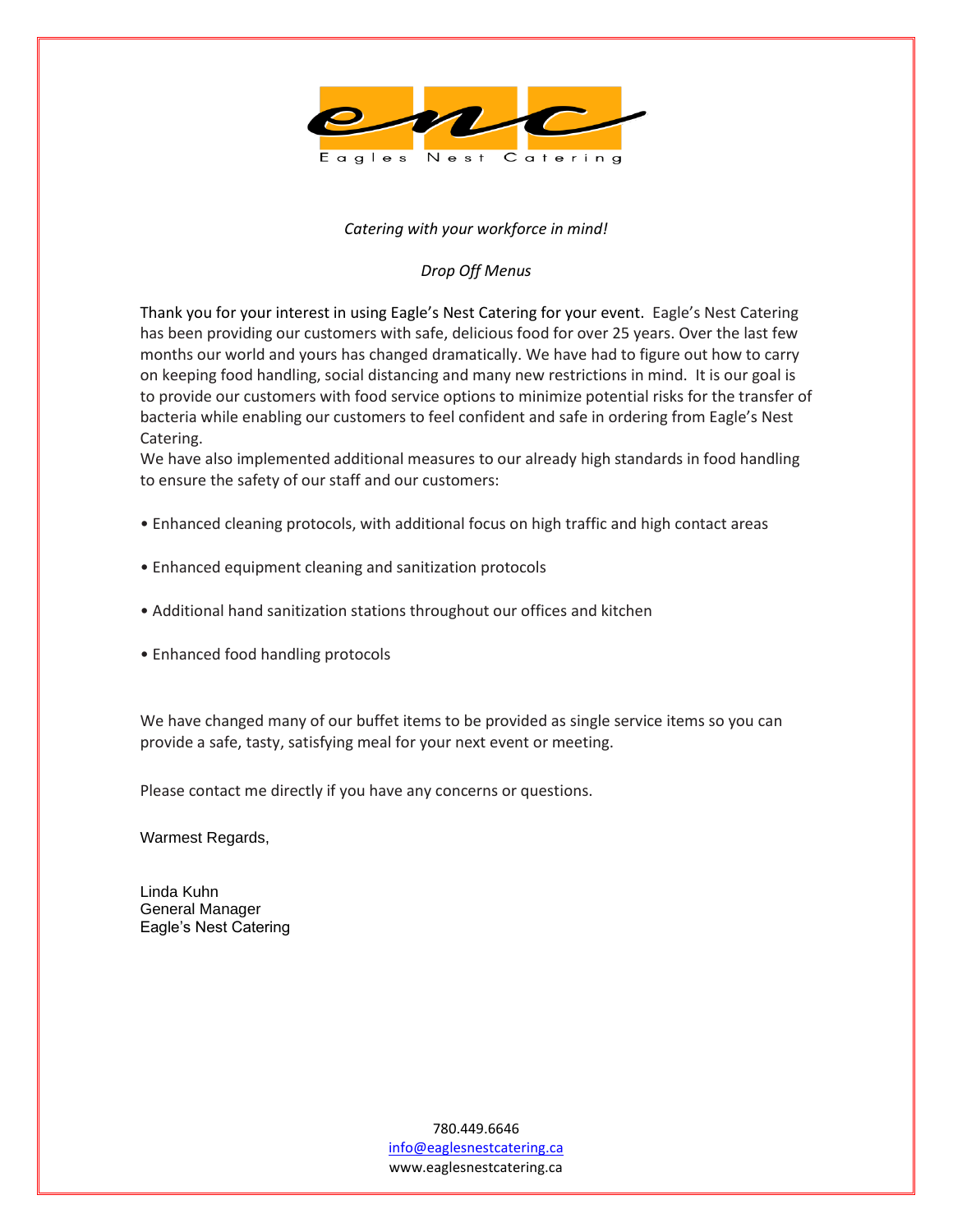

#### *Catering with your workforce in mind!*

#### *Drop Off Menus*

Thank you for your interest in using Eagle's Nest Catering for your event. Eagle's Nest Catering has been providing our customers with safe, delicious food for over 25 years. Over the last few months our world and yours has changed dramatically. We have had to figure out how to carry on keeping food handling, social distancing and many new restrictions in mind. It is our goal is to provide our customers with food service options to minimize potential risks for the transfer of bacteria while enabling our customers to feel confident and safe in ordering from Eagle's Nest Catering.

We have also implemented additional measures to our already high standards in food handling to ensure the safety of our staff and our customers:

- Enhanced cleaning protocols, with additional focus on high traffic and high contact areas
- Enhanced equipment cleaning and sanitization protocols
- Additional hand sanitization stations throughout our offices and kitchen
- Enhanced food handling protocols

We have changed many of our buffet items to be provided as single service items so you can provide a safe, tasty, satisfying meal for your next event or meeting.

Please contact me directly if you have any concerns or questions.

Warmest Regards,

Linda Kuhn General Manager Eagle's Nest Catering

> 780.449.6646 [info@eaglesnestcatering.ca](mailto:info@eaglesnestcatering.ca) www.eaglesnestcatering.ca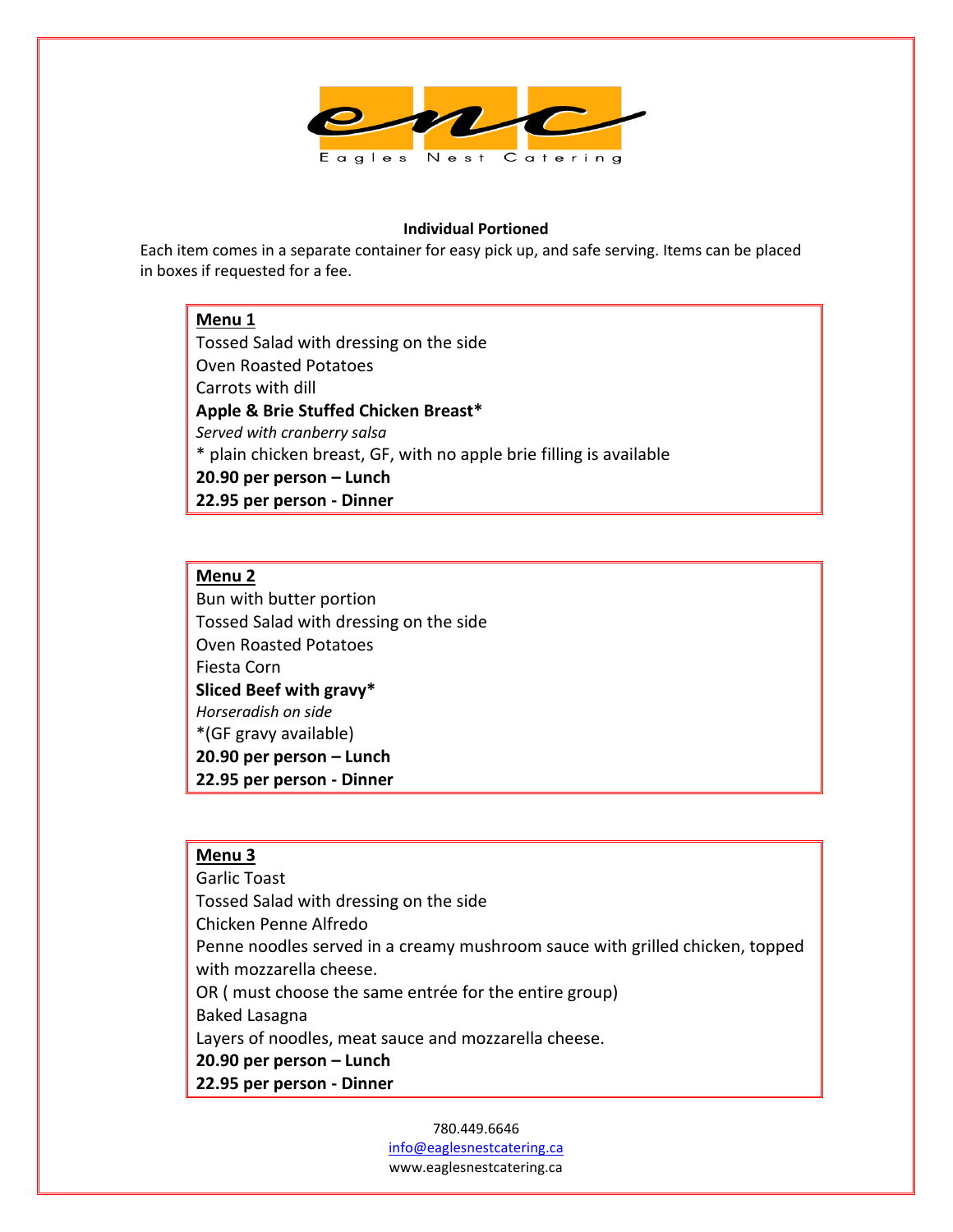

#### **Individual Portioned**

Each item comes in a separate container for easy pick up, and safe serving. Items can be placed in boxes if requested for a fee.

#### **Menu 1**

Tossed Salad with dressing on the side Oven Roasted Potatoes Carrots with dill **Apple & Brie Stuffed Chicken Breast\*** *Served with cranberry salsa* \* plain chicken breast, GF, with no apple brie filling is available **20.90 per person – Lunch 22.95 per person - Dinner**

## **Menu 2**

Bun with butter portion Tossed Salad with dressing on the side Oven Roasted Potatoes Fiesta Corn **Sliced Beef with gravy\*** *Horseradish on side* \*(GF gravy available) **20.90 per person – Lunch 22.95 per person - Dinner**

## **Menu 3**

Garlic Toast Tossed Salad with dressing on the side Chicken Penne Alfredo Penne noodles served in a creamy mushroom sauce with grilled chicken, topped with mozzarella cheese. OR ( must choose the same entrée for the entire group) Baked Lasagna Layers of noodles, meat sauce and mozzarella cheese. **20.90 per person – Lunch 22.95 per person - Dinner**

> 780.449.6646 [info@eaglesnestcatering.ca](mailto:info@eaglesnestcatering.ca) www.eaglesnestcatering.ca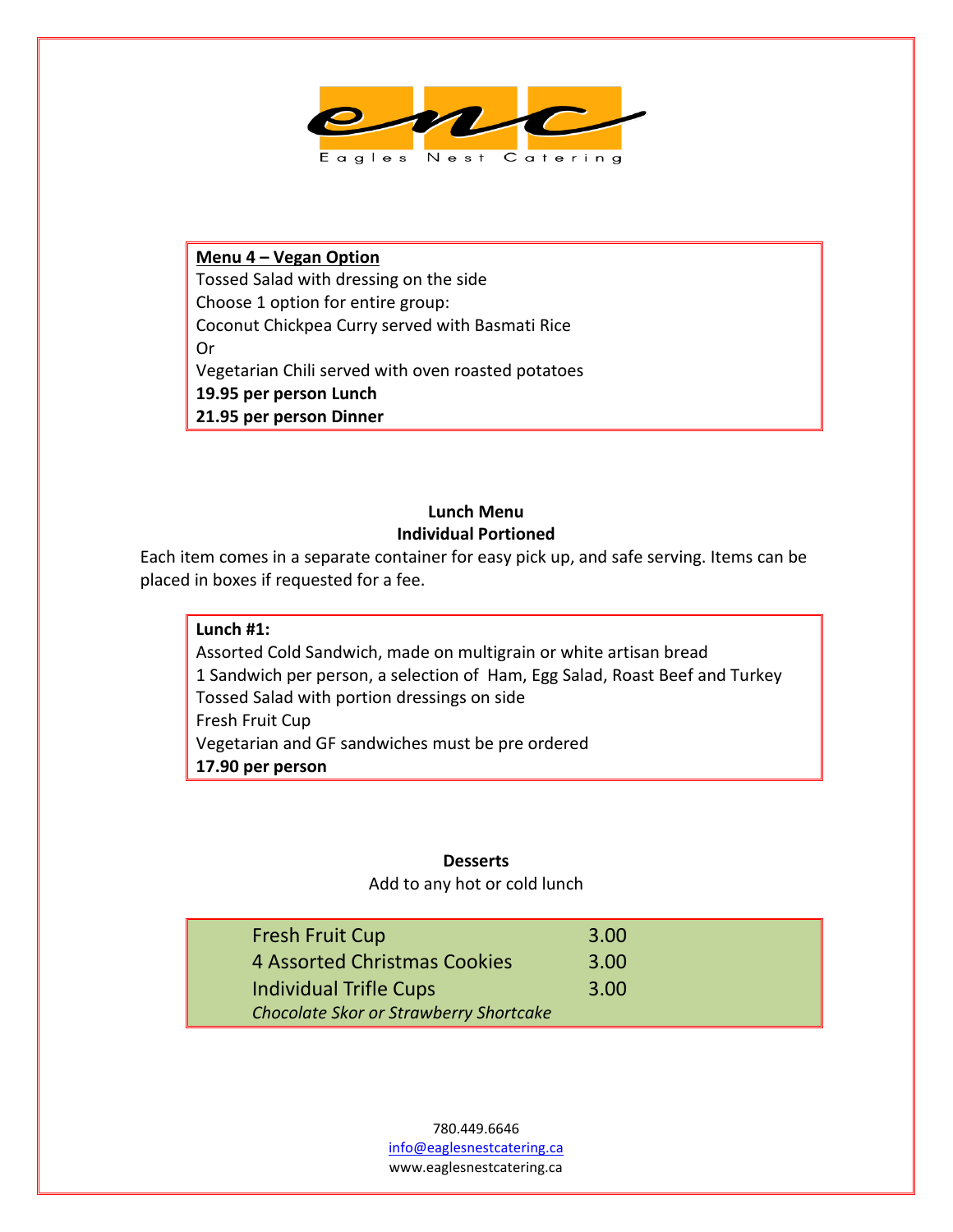

**Menu 4 – Vegan Option** Tossed Salad with dressing on the side Choose 1 option for entire group: Coconut Chickpea Curry served with Basmati Rice Or Vegetarian Chili served with oven roasted potatoes **19.95 per person Lunch 21.95 per person Dinner**

# **Lunch Menu Individual Portioned**

Each item comes in a separate container for easy pick up, and safe serving. Items can be placed in boxes if requested for a fee.

**Lunch #1:**  Assorted Cold Sandwich, made on multigrain or white artisan bread 1 Sandwich per person, a selection of Ham, Egg Salad, Roast Beef and Turkey Tossed Salad with portion dressings on side Fresh Fruit Cup Vegetarian and GF sandwiches must be pre ordered **17.90 per person**

## **Desserts**

Add to any hot or cold lunch

| <b>Fresh Fruit Cup</b>                        | 3.00 |
|-----------------------------------------------|------|
| <b>4 Assorted Christmas Cookies</b>           | 3.00 |
| Individual Trifle Cups                        | 3.00 |
| <b>Chocolate Skor or Strawberry Shortcake</b> |      |

780.449.6646 [info@eaglesnestcatering.ca](mailto:info@eaglesnestcatering.ca) www.eaglesnestcatering.ca